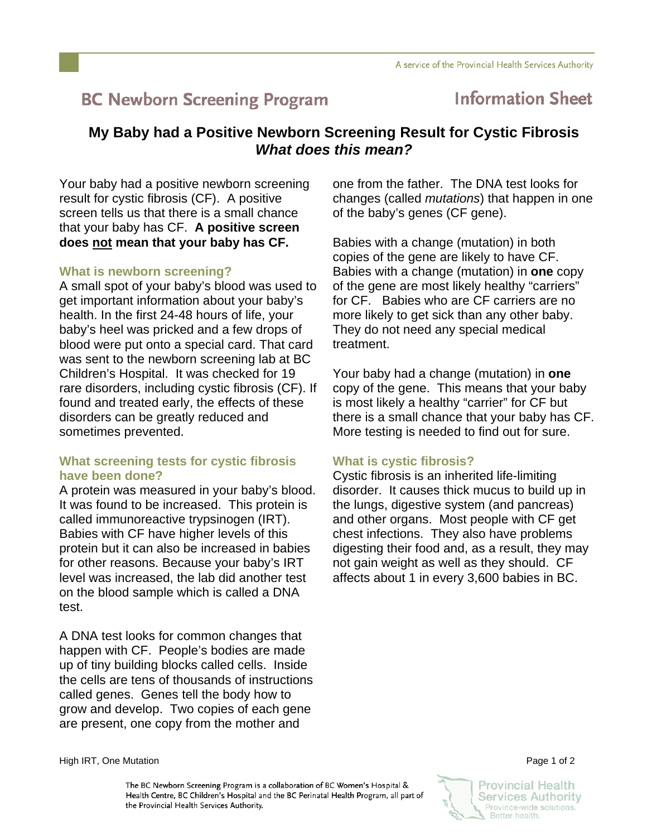# **BC Newborn Screening Program**

## **Information Sheet**

### **My Baby had a Positive Newborn Screening Result for Cystic Fibrosis**  *What does this mean?*

Your baby had a positive newborn screening result for cystic fibrosis (CF). A positive screen tells us that there is a small chance that your baby has CF. **A positive screen does not mean that your baby has CF.** 

#### **What is newborn screening?**

A small spot of your baby's blood was used to get important information about your baby's health. In the first 24-48 hours of life, your baby's heel was pricked and a few drops of blood were put onto a special card. That card was sent to the newborn screening lab at BC Children's Hospital. It was checked for 19 rare disorders, including cystic fibrosis (CF). If found and treated early, the effects of these disorders can be greatly reduced and sometimes prevented.

#### **What screening tests for cystic fibrosis have been done?**

A protein was measured in your baby's blood. It was found to be increased. This protein is called immunoreactive trypsinogen (IRT). Babies with CF have higher levels of this protein but it can also be increased in babies for other reasons. Because your baby's IRT level was increased, the lab did another test on the blood sample which is called a DNA test.

A DNA test looks for common changes that happen with CF. People's bodies are made up of tiny building blocks called cells. Inside the cells are tens of thousands of instructions called genes. Genes tell the body how to grow and develop. Two copies of each gene are present, one copy from the mother and

one from the father. The DNA test looks for changes (called *mutations*) that happen in one of the baby's genes (CF gene).

Babies with a change (mutation) in both copies of the gene are likely to have CF. Babies with a change (mutation) in **one** copy of the gene are most likely healthy "carriers" for CF. Babies who are CF carriers are no more likely to get sick than any other baby. They do not need any special medical treatment.

Your baby had a change (mutation) in **one** copy of the gene. This means that your baby is most likely a healthy "carrier" for CF but there is a small chance that your baby has CF. More testing is needed to find out for sure.

#### **What is cystic fibrosis?**

Cystic fibrosis is an inherited life-limiting disorder. It causes thick mucus to build up in the lungs, digestive system (and pancreas) and other organs. Most people with CF get chest infections. They also have problems digesting their food and, as a result, they may not gain weight as well as they should. CF affects about 1 in every 3,600 babies in BC.

High IRT, One Mutation **Page 1 of 2** and 2

The BC Newborn Screening Program is a collaboration of BC Women's Hospital & Health Centre, BC Children's Hospital and the BC Perinatal Health Program, all part of the Provincial Health Services Authority.